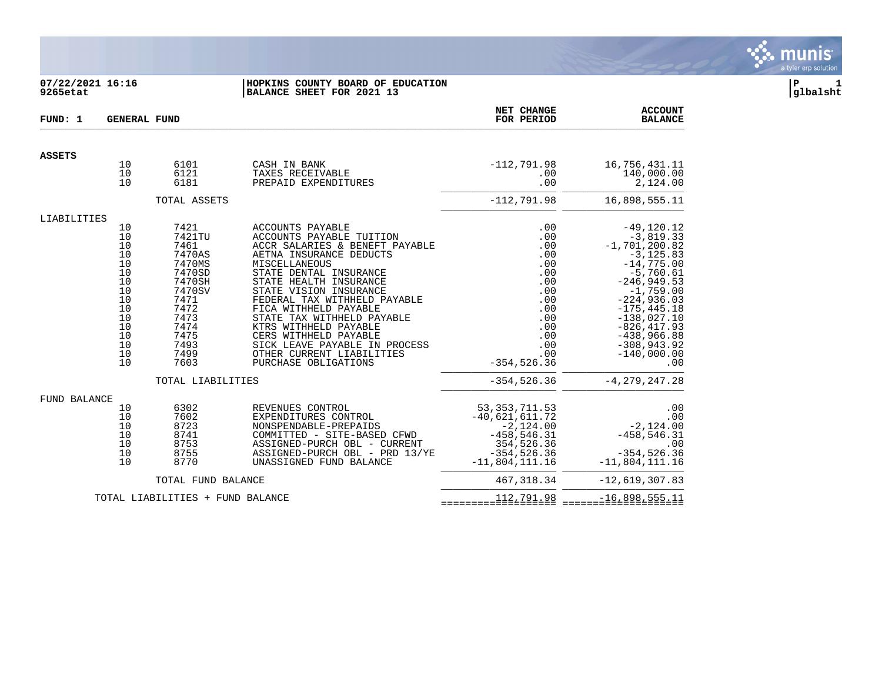

### **07/22/2021 16:16 |HOPKINS COUNTY BOARD OF EDUCATION |P 1 9265etat |BALANCE SHEET FOR 2021 13 |glbalsht**

| FUND: 1       | <b>GENERAL FUND</b>                                                                                                                                                                                                                                                           |                                                      |                                                                                                                                                                                                                                                                                                                                                                                                    | NET CHANGE<br>FOR PERIOD                                                                                                 | <b>ACCOUNT</b><br><b>BALANCE</b>                                                                                                                                                                                                                                |
|---------------|-------------------------------------------------------------------------------------------------------------------------------------------------------------------------------------------------------------------------------------------------------------------------------|------------------------------------------------------|----------------------------------------------------------------------------------------------------------------------------------------------------------------------------------------------------------------------------------------------------------------------------------------------------------------------------------------------------------------------------------------------------|--------------------------------------------------------------------------------------------------------------------------|-----------------------------------------------------------------------------------------------------------------------------------------------------------------------------------------------------------------------------------------------------------------|
| <b>ASSETS</b> |                                                                                                                                                                                                                                                                               |                                                      |                                                                                                                                                                                                                                                                                                                                                                                                    |                                                                                                                          |                                                                                                                                                                                                                                                                 |
|               | 10<br>10<br>10                                                                                                                                                                                                                                                                | 6101<br>6121<br>6181                                 | CASH IN BANK<br>TAXES RECEIVABLE<br>PREPAID EXPENDITURES                                                                                                                                                                                                                                                                                                                                           | $-112,791.98$<br>.00<br>.00                                                                                              | 16,756,431.11<br>140,000.00<br>2,124.00                                                                                                                                                                                                                         |
|               |                                                                                                                                                                                                                                                                               | TOTAL ASSETS                                         |                                                                                                                                                                                                                                                                                                                                                                                                    | $-112, 791.98$                                                                                                           | 16,898,555.11                                                                                                                                                                                                                                                   |
| LIABILITIES   |                                                                                                                                                                                                                                                                               |                                                      |                                                                                                                                                                                                                                                                                                                                                                                                    |                                                                                                                          |                                                                                                                                                                                                                                                                 |
|               | 7421<br>ACCOUNTS PAYABLE<br>10<br>10<br>7421TU<br>10<br>7461<br>10<br>7470AS<br>10<br>7470MS<br>MISCELLANEOUS<br>10<br>7470SD<br>10<br>7470SH<br>10<br>7470SV<br>10<br>7471<br>10<br>7472<br>10<br>7473<br>10<br>7474<br>10<br>7475<br>10<br>7493<br>10<br>7499<br>10<br>7603 |                                                      | ACCOUNTS PAYABLE TUITION<br>ACCR SALARIES & BENEFT PAYABLE<br>AETNA INSURANCE DEDUCTS<br>STATE DENTAL INSURANCE<br>STATE HEALTH INSURANCE<br>STATE VISION INSURANCE<br>FEDERAL TAX WITHHELD PAYABLE<br>FICA WITHHELD PAYABLE<br>STATE TAX WITHHELD PAYABLE<br>KTRS WITHHELD PAYABLE<br>CERS WITHHELD PAYABLE<br>SICK LEAVE PAYABLE IN PROCESS<br>OTHER CURRENT LIABILITIES<br>PURCHASE OBLIGATIONS | .00<br>.00<br>.00<br>.00<br>.00<br>.00<br>.00<br>.00<br>.00<br>.00<br>.00<br>.00<br>.00<br>.00<br>.00<br>$-354, 526.36$  | $-49, 120.12$<br>$-3,819.33$<br>$-1,701,200.82$<br>$-3, 125.83$<br>$-14,775.00$<br>$-5,760.61$<br>$-246, 949.53$<br>$-1,759.00$<br>$-224,936.03$<br>$-175, 445.18$<br>$-138,027.10$<br>$-826, 417.93$<br>$-438,966.88$<br>$-308,943.92$<br>$-140,000.00$<br>.00 |
|               |                                                                                                                                                                                                                                                                               | TOTAL LIABILITIES                                    |                                                                                                                                                                                                                                                                                                                                                                                                    | $-354, 526.36$                                                                                                           | $-4, 279, 247.28$                                                                                                                                                                                                                                               |
| FUND BALANCE  | 10<br>10<br>10<br>10<br>10<br>10<br>10                                                                                                                                                                                                                                        | 6302<br>7602<br>8723<br>8741<br>8753<br>8755<br>8770 | REVENUES CONTROL<br>EXPENDITURES CONTROL<br>NONSPENDABLE-PREPAIDS<br>COMMITTED - SITE-BASED CFWD<br>ASSIGNED-PURCH OBL - CURRENT<br>ASSIGNED-PURCH OBL - PRD 13/YE<br>UNASSIGNED FUND BALANCE                                                                                                                                                                                                      | 53, 353, 711.53<br>$-40,621,611.72$<br>$-2,124.00$<br>$-458, 546.31$<br>354,526.36<br>$-354, 526.36$<br>$-11,804,111.16$ | .00<br>.00<br>$-2, 124.00$<br>$-458.546.31$<br>.00<br>$-354, 526.36$<br>$-11,804,111.16$                                                                                                                                                                        |
|               |                                                                                                                                                                                                                                                                               | TOTAL FUND BALANCE                                   |                                                                                                                                                                                                                                                                                                                                                                                                    | 467, 318.34                                                                                                              | $-12,619,307.83$                                                                                                                                                                                                                                                |
|               |                                                                                                                                                                                                                                                                               | TOTAL LIABILITIES + FUND BALANCE                     |                                                                                                                                                                                                                                                                                                                                                                                                    | 11227221.98                                                                                                              | $-16.898.555.11$                                                                                                                                                                                                                                                |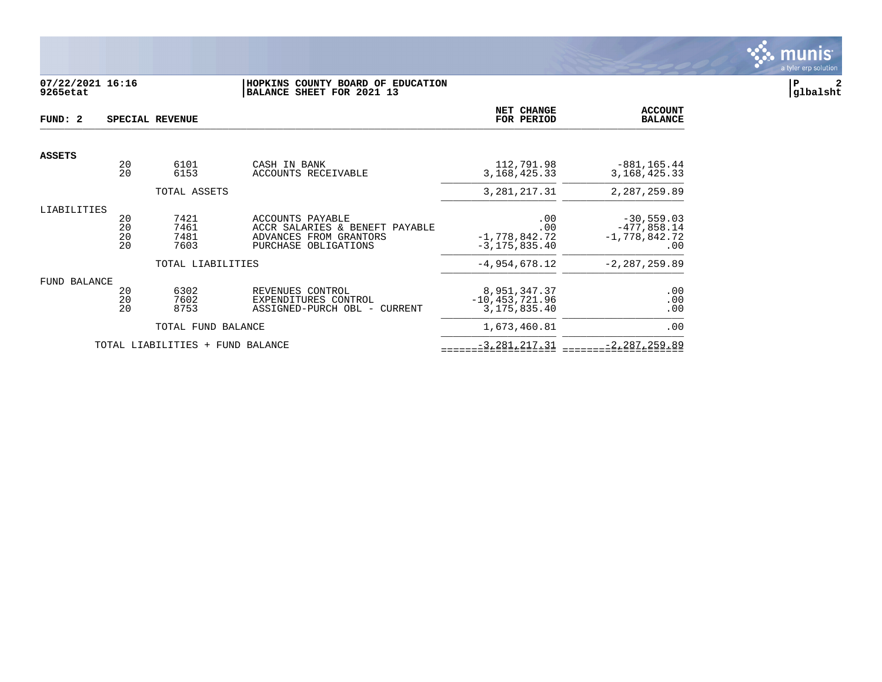

# **07/22/2021 16:16 |HOPKINS COUNTY BOARD OF EDUCATION |P 2 9265etat |BALANCE SHEET FOR 2021 13 |glbalsht**

| FUND: 2       |                      | SPECIAL REVENUE              |                                                                                                      | NET CHANGE<br>FOR PERIOD                              | <b>ACCOUNT</b><br><b>BALANCE</b>                             |
|---------------|----------------------|------------------------------|------------------------------------------------------------------------------------------------------|-------------------------------------------------------|--------------------------------------------------------------|
| <b>ASSETS</b> |                      |                              |                                                                                                      |                                                       |                                                              |
|               | 20<br>20             | 6101<br>6153                 | CASH IN BANK<br>ACCOUNTS RECEIVABLE                                                                  | 112,791.98<br>3, 168, 425. 33                         | $-881, 165.44$<br>3, 168, 425. 33                            |
|               |                      | TOTAL ASSETS                 |                                                                                                      | 3, 281, 217.31                                        | 2, 287, 259.89                                               |
| LIABILITIES   | 20<br>20<br>20<br>20 | 7421<br>7461<br>7481<br>7603 | ACCOUNTS PAYABLE<br>ACCR SALARIES & BENEFT PAYABLE<br>ADVANCES FROM GRANTORS<br>PURCHASE OBLIGATIONS | .00<br>.00<br>$-1,778,842.72$<br>$-3, 175, 835.40$    | $-30,559.03$<br>$-477,858.14$<br>$-1,778,842.72$<br>$.00 \,$ |
|               |                      | TOTAL LIABILITIES            |                                                                                                      | $-4,954,678.12$                                       | $-2, 287, 259.89$                                            |
| FUND BALANCE  | 20<br>20<br>20       | 6302<br>7602<br>8753         | REVENUES CONTROL<br>EXPENDITURES CONTROL<br>ASSIGNED-PURCH OBL -<br>CURRENT                          | 8,951,347.37<br>$-10, 453, 721.96$<br>3, 175, 835. 40 | .00<br>.00<br>.00                                            |
|               |                      | TOTAL FUND BALANCE           |                                                                                                      | 1,673,460.81                                          | .00                                                          |
|               |                      | TOTAL LIABILITIES<br>$+$     | FUND BALANCE                                                                                         | $-3, 281, 217.31$                                     | $-2, 287, 259.89$                                            |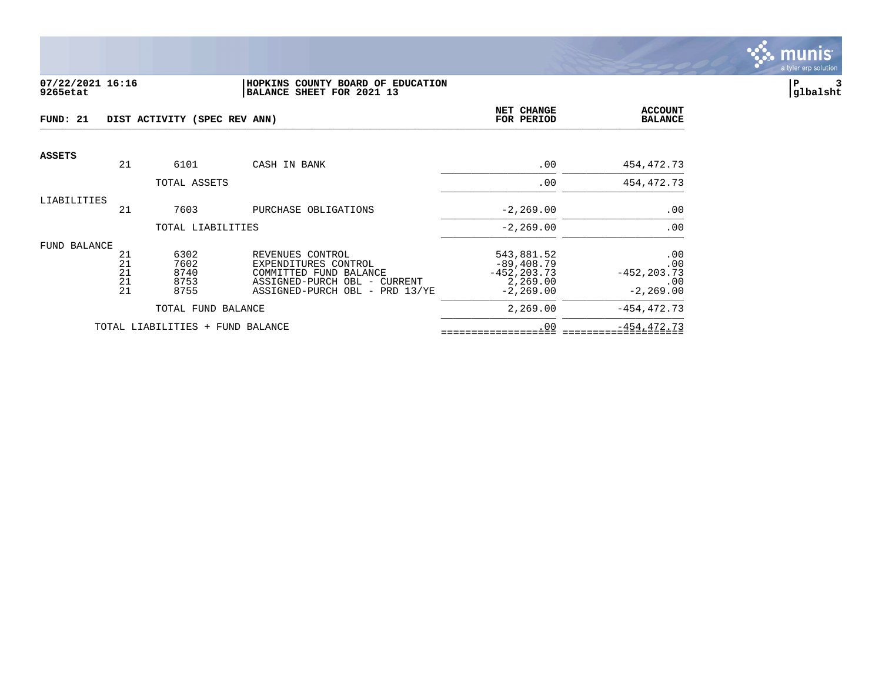

#### **07/22/2021 16:16 |HOPKINS COUNTY BOARD OF EDUCATION |P 3 9265etat |BALANCE SHEET FOR 2021 13 |glbalsht**

| FUND: 21      |    | DIST ACTIVITY (SPEC REV ANN)     | NET CHANGE<br>FOR PERIOD       | <b>ACCOUNT</b><br><b>BALANCE</b> |                |
|---------------|----|----------------------------------|--------------------------------|----------------------------------|----------------|
| <b>ASSETS</b> | 21 | 6101                             | CASH IN BANK                   | .00                              | 454,472.73     |
|               |    |                                  |                                |                                  |                |
|               |    | TOTAL ASSETS                     |                                | .00                              | 454,472.73     |
| LIABILITIES   |    |                                  |                                |                                  |                |
|               | 21 | 7603                             | PURCHASE OBLIGATIONS           | $-2, 269.00$                     | .00            |
|               |    | TOTAL LIABILITIES                |                                | $-2, 269.00$                     | .00            |
| FUND BALANCE  |    |                                  |                                |                                  |                |
|               | 21 | 6302                             | REVENUES CONTROL               | 543,881.52                       | .00            |
|               | 21 | 7602                             | EXPENDITURES CONTROL           | $-89, 408.79$                    | .00            |
|               | 21 | 8740                             | COMMITTED FUND BALANCE         | $-452, 203.73$                   | $-452, 203.73$ |
|               | 21 | 8753                             | ASSIGNED-PURCH OBL - CURRENT   | 2,269.00                         | .00            |
|               | 21 | 8755                             | ASSIGNED-PURCH OBL - PRD 13/YE | $-2, 269.00$                     | $-2, 269.00$   |
|               |    | TOTAL FUND BALANCE               |                                | 2,269.00                         | $-454, 472.73$ |
|               |    | TOTAL LIABILITIES + FUND BALANCE |                                | .00                              | $-454, 472.73$ |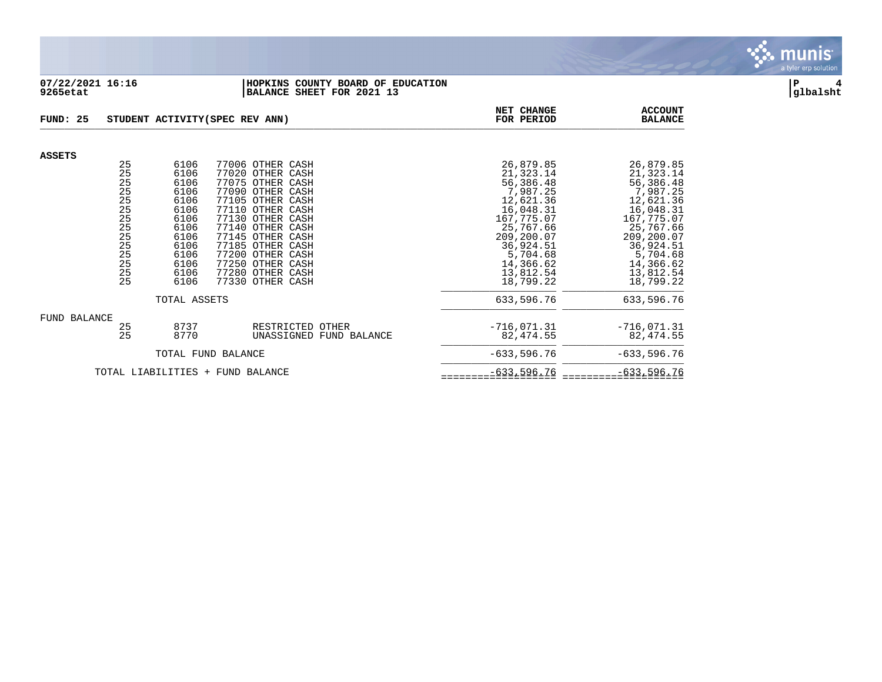

## **07/22/2021 16:16 |HOPKINS COUNTY BOARD OF EDUCATION |P 4 9265etat |BALANCE SHEET FOR 2021 13 |glbalsht**

| FUND: 25      |                                                                                                                        |                                                                                                              | STUDENT ACTIVITY (SPEC REV ANN)                                                                                                                                                                                                                                                      | NET CHANGE<br>FOR PERIOD                                                                                                                                                           | <b>ACCOUNT</b><br><b>BALANCE</b>                                                                                                                                                   |
|---------------|------------------------------------------------------------------------------------------------------------------------|--------------------------------------------------------------------------------------------------------------|--------------------------------------------------------------------------------------------------------------------------------------------------------------------------------------------------------------------------------------------------------------------------------------|------------------------------------------------------------------------------------------------------------------------------------------------------------------------------------|------------------------------------------------------------------------------------------------------------------------------------------------------------------------------------|
|               |                                                                                                                        |                                                                                                              |                                                                                                                                                                                                                                                                                      |                                                                                                                                                                                    |                                                                                                                                                                                    |
| <b>ASSETS</b> | 25<br>25<br>25<br>25<br>25<br>$\begin{array}{c} 25 \\ 25 \end{array}$<br>$\frac{25}{25}$<br>25<br>25<br>25<br>25<br>25 | 6106<br>6106<br>6106<br>6106<br>6106<br>6106<br>6106<br>6106<br>6106<br>6106<br>6106<br>6106<br>6106<br>6106 | 77006 OTHER CASH<br>77020 OTHER CASH<br>77075 OTHER CASH<br>77090 OTHER CASH<br>77105 OTHER CASH<br>77110 OTHER CASH<br>77130 OTHER CASH<br>77140 OTHER CASH<br>77145 OTHER CASH<br>77185 OTHER CASH<br>77200 OTHER CASH<br>77250 OTHER CASH<br>77280 OTHER CASH<br>77330 OTHER CASH | 26,879.85<br>21,323.14<br>56,386.48<br>7,987.25<br>12,621.36<br>16,048.31<br>167,775.07<br>25,767.66<br>209,200.07<br>36,924.51<br>5,704.68<br>14,366.62<br>13,812.54<br>18,799.22 | 26,879.85<br>21,323.14<br>56,386.48<br>7,987.25<br>12,621.36<br>16,048.31<br>167,775.07<br>25,767.66<br>209,200.07<br>36,924.51<br>5,704.68<br>14,366.62<br>13,812.54<br>18,799.22 |
|               |                                                                                                                        | TOTAL ASSETS                                                                                                 |                                                                                                                                                                                                                                                                                      | 633,596.76                                                                                                                                                                         | 633,596.76                                                                                                                                                                         |
| FUND BALANCE  | 25<br>25                                                                                                               | 8737<br>8770                                                                                                 | RESTRICTED OTHER<br>UNASSIGNED FUND BALANCE                                                                                                                                                                                                                                          | $-716,071.31$<br>82,474.55                                                                                                                                                         | $-716,071.31$<br>82,474.55                                                                                                                                                         |
|               |                                                                                                                        |                                                                                                              | TOTAL FUND BALANCE                                                                                                                                                                                                                                                                   | $-633,596.76$                                                                                                                                                                      | $-633,596.76$                                                                                                                                                                      |
|               |                                                                                                                        | TOTAL LIABILITIES<br>$+$                                                                                     | FUND BALANCE                                                                                                                                                                                                                                                                         | $-633,596.76$                                                                                                                                                                      | $-633,596.76$                                                                                                                                                                      |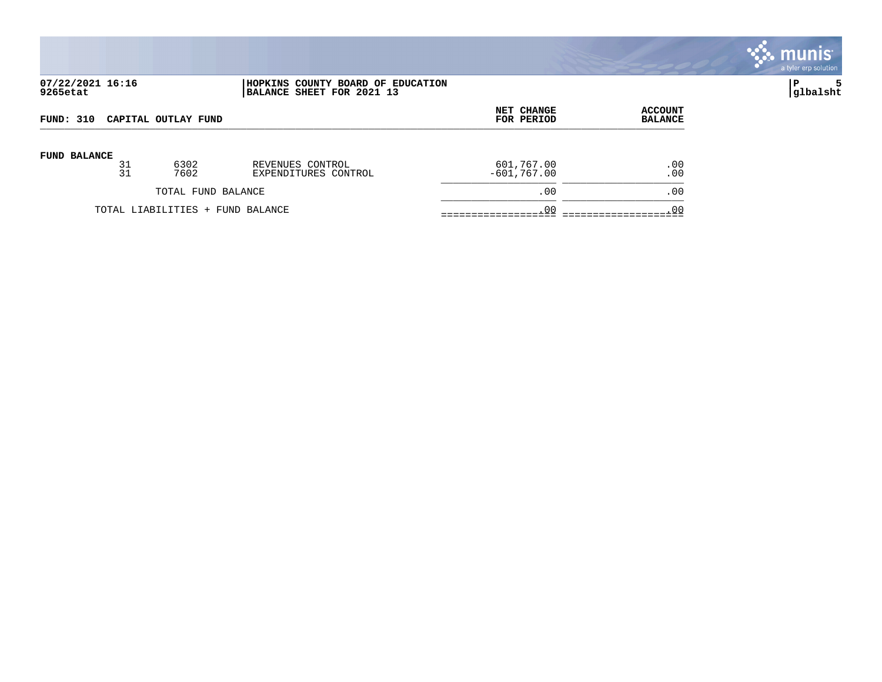

# **07/22/2021 16:16 |HOPKINS COUNTY BOARD OF EDUCATION |P 5 9265etat |BALANCE SHEET FOR 2021 13 |glbalsht**

| <b>FUND: 310</b>    |    |                                  |                      | <b>NET CHANGE</b> | <b>ACCOUNT</b> |
|---------------------|----|----------------------------------|----------------------|-------------------|----------------|
| CAPITAL OUTLAY FUND |    |                                  |                      | FOR PERIOD        | <b>BALANCE</b> |
| <b>FUND BALANCE</b> | 31 | 6302                             | REVENUES CONTROL     | 601,767.00        | .00            |
|                     | 31 | 7602                             | EXPENDITURES CONTROL | $-601,767.00$     | .00            |
|                     |    | TOTAL FUND BALANCE               |                      | .00               | .00            |
|                     |    | TOTAL LIABILITIES + FUND BALANCE |                      | .00               | .00            |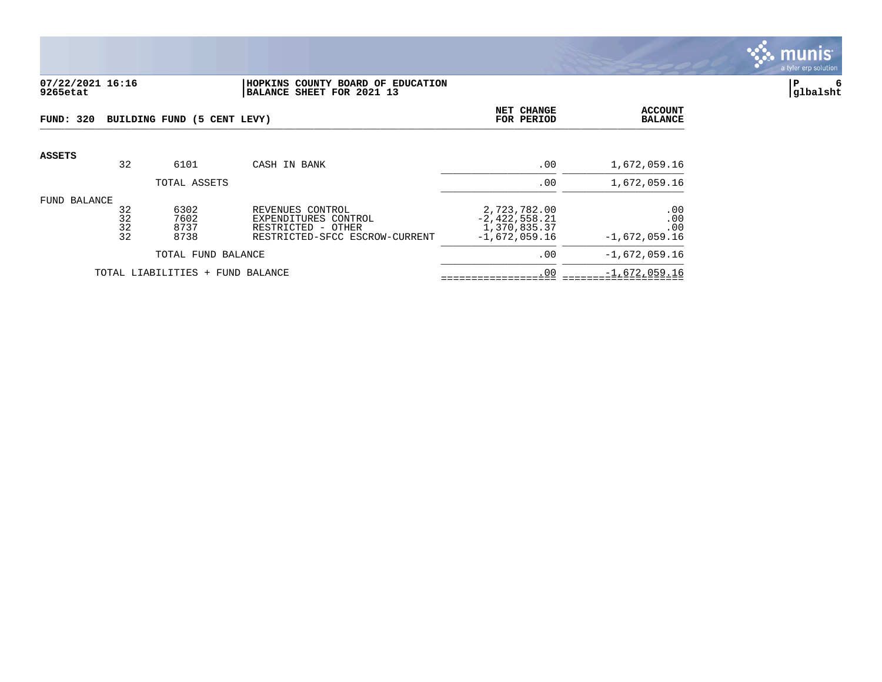

#### **07/22/2021 16:16 |HOPKINS COUNTY BOARD OF EDUCATION |P 6 9265etat |BALANCE SHEET FOR 2021 13 |glbalsht**

| <b>FUND: 320</b> |                      | BUILDING FUND (5 CENT LEVY)  |                                                                                                  | NET CHANGE<br>FOR PERIOD                                           | <b>ACCOUNT</b><br><b>BALANCE</b>     |
|------------------|----------------------|------------------------------|--------------------------------------------------------------------------------------------------|--------------------------------------------------------------------|--------------------------------------|
| ASSETS           | 32                   | 6101                         | CASH IN BANK                                                                                     | .00                                                                | 1,672,059.16                         |
|                  |                      | TOTAL ASSETS                 |                                                                                                  | .00                                                                | 1,672,059.16                         |
| FUND BALANCE     | 32<br>32<br>32<br>32 | 6302<br>7602<br>8737<br>8738 | REVENUES CONTROL<br>EXPENDITURES CONTROL<br>RESTRICTED - OTHER<br>RESTRICTED-SFCC ESCROW-CURRENT | 2,723,782.00<br>$-2,422,558.21$<br>1,370,835.37<br>$-1,672,059.16$ | .00<br>.00<br>.00<br>$-1,672,059.16$ |
|                  |                      | TOTAL FUND BALANCE           |                                                                                                  | .00                                                                | $-1,672,059.16$                      |
|                  |                      | TOTAL LIABILITIES +          | FUND BALANCE                                                                                     | .00                                                                | $-1,672,059.16$                      |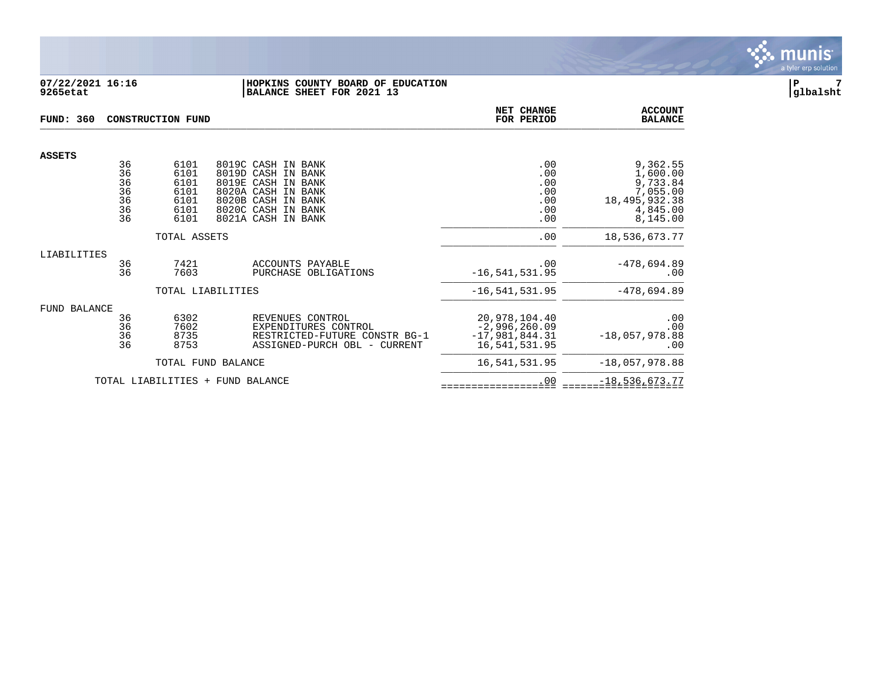

#### **07/22/2021 16:16 |HOPKINS COUNTY BOARD OF EDUCATION |P 7 9265etat |BALANCE SHEET FOR 2021 13 |glbalsht**

| <b>FUND: 360</b>    |                                        | <b>CONSTRUCTION FUND</b>                             |                                                                                                                                                        | NET CHANGE<br>FOR PERIOD                                              | <b>ACCOUNT</b><br><b>BALANCE</b>                                                        |
|---------------------|----------------------------------------|------------------------------------------------------|--------------------------------------------------------------------------------------------------------------------------------------------------------|-----------------------------------------------------------------------|-----------------------------------------------------------------------------------------|
| <b>ASSETS</b>       |                                        |                                                      |                                                                                                                                                        |                                                                       |                                                                                         |
|                     | 36<br>36<br>36<br>36<br>36<br>36<br>36 | 6101<br>6101<br>6101<br>6101<br>6101<br>6101<br>6101 | 8019C CASH IN BANK<br>8019D CASH IN BANK<br>8019E CASH IN BANK<br>8020A CASH IN BANK<br>8020B CASH IN BANK<br>8020C CASH IN BANK<br>8021A CASH IN BANK | .00<br>.00<br>.00<br>.00<br>.00<br>.00<br>.00                         | 9,362.55<br>1,600.00<br>9,733.84<br>7,055.00<br>18, 495, 932.38<br>4,845.00<br>8,145.00 |
|                     |                                        | TOTAL ASSETS                                         |                                                                                                                                                        | .00                                                                   | 18,536,673.77                                                                           |
| LIABILITIES         | 36<br>36                               | 7421<br>7603                                         | ACCOUNTS PAYABLE<br>PURCHASE OBLIGATIONS                                                                                                               | .00<br>$-16, 541, 531.95$                                             | $-478,694.89$<br>.00                                                                    |
|                     |                                        |                                                      | TOTAL LIABILITIES                                                                                                                                      | $-16, 541, 531.95$                                                    | $-478,694.89$                                                                           |
| <b>FUND BALANCE</b> | 36<br>36<br>36<br>36                   | 6302<br>7602<br>8735<br>8753                         | REVENUES CONTROL<br>EXPENDITURES CONTROL<br>RESTRICTED-FUTURE CONSTR BG-1<br>ASSIGNED-PURCH OBL - CURRENT                                              | 20,978,104.40<br>$-2,996,260.09$<br>$-17,981,844.31$<br>16,541,531.95 | .00<br>.00<br>$-18,057,978.88$<br>.00                                                   |
|                     |                                        |                                                      | TOTAL FUND BALANCE                                                                                                                                     | 16,541,531.95                                                         | $-18,057,978.88$                                                                        |
|                     | TOTAL LIABILITIES                      | $+$                                                  | FUND BALANCE                                                                                                                                           | .00                                                                   | $-18,536,673.77$                                                                        |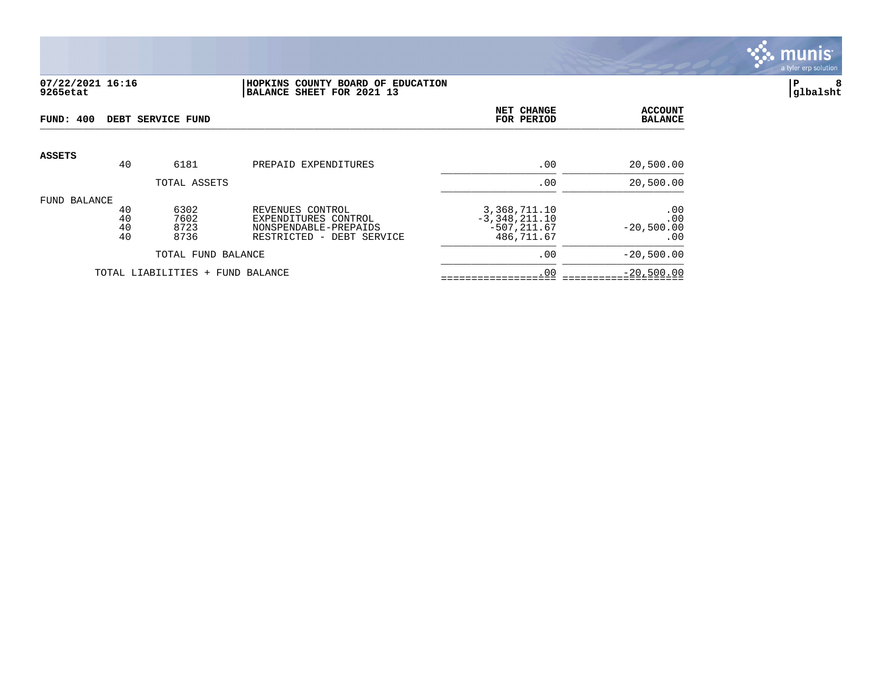

### **07/22/2021 16:16 |HOPKINS COUNTY BOARD OF EDUCATION |P 8 9265etat |BALANCE SHEET FOR 2021 13 |glbalsht**

| FUND: 400    |                      | DEBT SERVICE FUND                |                                                                                                | NET CHANGE<br>FOR PERIOD                                        | <b>ACCOUNT</b><br><b>BALANCE</b>  |
|--------------|----------------------|----------------------------------|------------------------------------------------------------------------------------------------|-----------------------------------------------------------------|-----------------------------------|
| ASSETS       | 40                   | 6181                             | PREPAID EXPENDITURES                                                                           | .00                                                             | 20,500.00                         |
|              |                      | TOTAL ASSETS                     |                                                                                                | .00                                                             | 20,500.00                         |
| FUND BALANCE | 40<br>40<br>40<br>40 | 6302<br>7602<br>8723<br>8736     | REVENUES CONTROL<br>EXPENDITURES CONTROL<br>NONSPENDABLE-PREPAIDS<br>RESTRICTED - DEBT SERVICE | 3,368,711.10<br>$-3,348,211.10$<br>$-507, 211.67$<br>486,711.67 | .00<br>.00<br>$-20,500.00$<br>.00 |
|              |                      | TOTAL FUND BALANCE               |                                                                                                | .00                                                             | $-20,500.00$                      |
|              |                      | TOTAL LIABILITIES + FUND BALANCE |                                                                                                | .00                                                             | $-20,500.00$                      |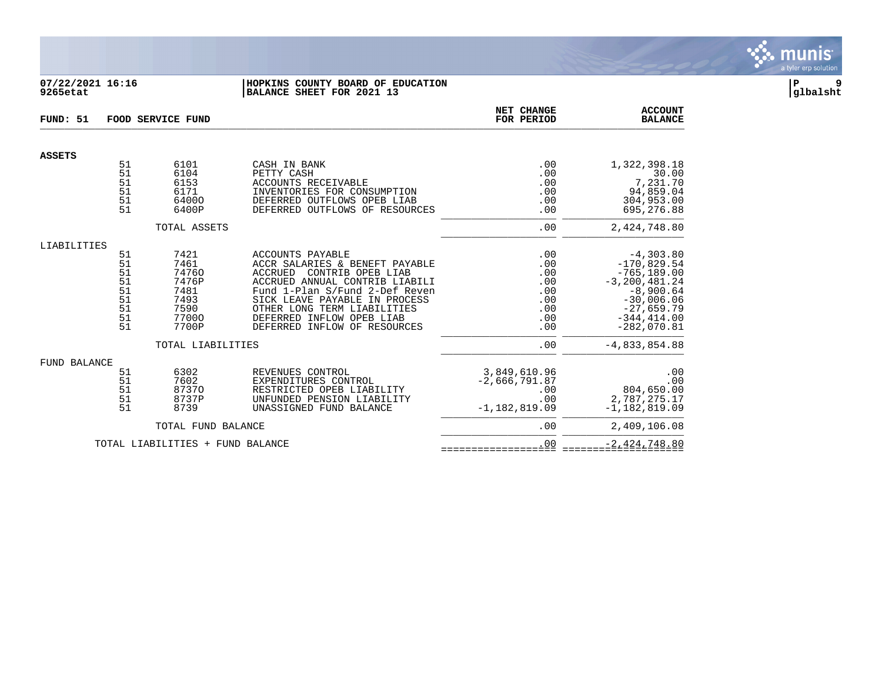

## **07/22/2021 16:16 |HOPKINS COUNTY BOARD OF EDUCATION |P 9 9265etat |BALANCE SHEET FOR 2021 13 |glbalsht**

| FUND: 51      |          | FOOD SERVICE FUND                |                                                                 | NET CHANGE<br>FOR PERIOD | <b>ACCOUNT</b><br><b>BALANCE</b> |
|---------------|----------|----------------------------------|-----------------------------------------------------------------|--------------------------|----------------------------------|
| <b>ASSETS</b> |          |                                  |                                                                 |                          |                                  |
|               | 51<br>51 | 6101<br>6104                     | CASH IN BANK<br>PETTY CASH                                      | .00<br>.00               | 1,322,398.18<br>30.00            |
|               | 51<br>51 | 6153<br>6171                     | ACCOUNTS RECEIVABLE<br>INVENTORIES FOR CONSUMPTION              | .00<br>.00               | 7,231.70<br>94,859.04            |
|               | 51<br>51 | 64000<br>6400P                   | DEFERRED OUTFLOWS OPEB LIAB<br>DEFERRED OUTFLOWS OF RESOURCES   | .00<br>.00               | 304,953.00<br>695,276.88         |
|               |          | TOTAL ASSETS                     |                                                                 | .00                      | 2,424,748.80                     |
|               |          |                                  |                                                                 |                          |                                  |
| LIABILITIES   | 51       | 7421                             | <b>ACCOUNTS PAYABLE</b>                                         | .00                      | $-4,303.80$                      |
|               | 51<br>51 | 7461<br>74760                    | ACCR SALARIES & BENEFT PAYABLE<br>CONTRIB OPEB LIAB<br>ACCRUED  | .00<br>.00               | $-170,829.54$<br>$-765, 189.00$  |
|               | 51       | 7476P                            | ACCRUED ANNUAL CONTRIB LIABILI                                  | .00                      | $-3, 200, 481.24$                |
|               | 51<br>51 | 7481<br>7493                     | Fund 1-Plan S/Fund 2-Def Reven<br>SICK LEAVE PAYABLE IN PROCESS | .00<br>.00               | $-8,900.64$<br>$-30,006.06$      |
|               | 51       | 7590                             | OTHER LONG TERM LIABILITIES                                     | .00                      | $-27,659.79$                     |
|               | 51<br>51 | 77000<br>7700P                   | DEFERRED INFLOW OPEB LIAB<br>DEFERRED INFLOW OF RESOURCES       | .00<br>.00               | $-344, 414.00$<br>$-282,070.81$  |
|               |          | TOTAL LIABILITIES                |                                                                 | .00                      | $-4,833,854.88$                  |
| FUND BALANCE  |          |                                  |                                                                 |                          |                                  |
|               | 51<br>51 | 6302                             | REVENUES CONTROL<br>EXPENDITURES CONTROL                        | 3,849,610.96             | .00                              |
|               | 51       | 7602<br>87370                    | RESTRICTED OPEB LIABILITY                                       | $-2,666,791.87$<br>.00   | .00<br>804,650.00                |
|               | 51<br>51 | 8737P                            | UNFUNDED PENSION LIABILITY                                      | .00                      | 2,787,275.17                     |
|               |          | 8739                             | UNASSIGNED FUND BALANCE                                         | $-1,182,819.09$          | $-1, 182, 819.09$                |
|               |          | TOTAL FUND BALANCE               |                                                                 | .00                      | 2,409,106.08                     |
|               |          | TOTAL LIABILITIES + FUND BALANCE |                                                                 | .00                      | $-2,424,748.80$                  |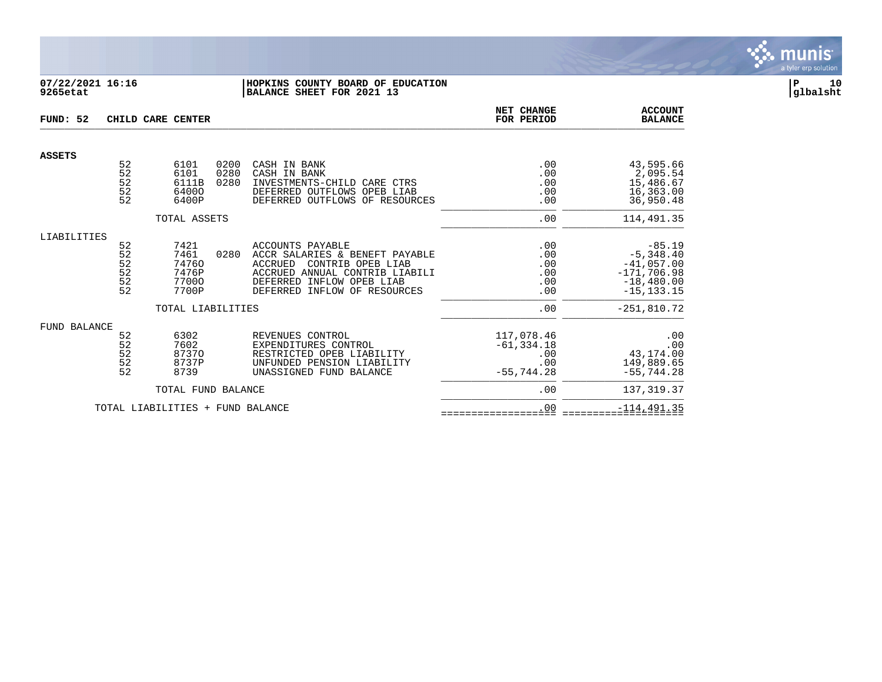

### **07/22/2021 16:16 |HOPKINS COUNTY BOARD OF EDUCATION |P 10 9265etat |BALANCE SHEET FOR 2021 13 |glbalsht**

| FUND: 52            |                                         | CHILD CARE CENTER                                                     |                      |                                                                                                                                                                                                 | NET CHANGE<br>FOR PERIOD                                  | <b>ACCOUNT</b><br><b>BALANCE</b>                                                                            |
|---------------------|-----------------------------------------|-----------------------------------------------------------------------|----------------------|-------------------------------------------------------------------------------------------------------------------------------------------------------------------------------------------------|-----------------------------------------------------------|-------------------------------------------------------------------------------------------------------------|
| <b>ASSETS</b>       |                                         |                                                                       |                      |                                                                                                                                                                                                 |                                                           |                                                                                                             |
|                     | 52<br>52<br>52<br>52<br>52              | 6101<br>6101<br>6111B<br>64000<br>6400P                               | 0200<br>0280<br>0280 | CASH IN BANK<br>CASH IN BANK<br>INVESTMENTS-CHILD CARE CTRS<br>DEFERRED OUTFLOWS OPEB LIAB<br>DEFERRED OUTFLOWS OF RESOURCES                                                                    | .00<br>.00<br>.00<br>.00<br>.00                           | 43,595.66<br>2,095.54<br>15,486.67<br>16,363.00<br>36,950.48                                                |
|                     |                                         | TOTAL ASSETS                                                          |                      |                                                                                                                                                                                                 | .00                                                       | 114,491.35                                                                                                  |
| LIABILITIES         | 52<br>52<br>$\frac{5}{2}$<br>52<br>52   | 7421<br>7461<br>74760<br>7476P<br>77000<br>7700P<br>TOTAL LIABILITIES | 0280                 | <b>ACCOUNTS PAYABLE</b><br>ACCR SALARIES & BENEFT PAYABLE<br><b>ACCRUED</b><br>CONTRIB OPEB LIAB<br>ACCRUED ANNUAL CONTRIB LIABILI<br>DEFERRED INFLOW OPEB LIAB<br>DEFERRED INFLOW OF RESOURCES | .00<br>$.00$<br>$.00$<br>$.00$<br>.00<br>.00<br>.00       | $-85.19$<br>$-5,348.40$<br>$-41,057.00$<br>$-171,706.98$<br>$-18,480.00$<br>$-15, 133.15$<br>$-251, 810.72$ |
| <b>FUND BALANCE</b> | 52<br>$\frac{52}{52}$<br>52<br>52<br>52 | 6302<br>7602<br>87370<br>8737P<br>8739                                |                      | REVENUES CONTROL<br>EXPENDITURES CONTROL<br>RESTRICTED OPEB LIABILITY<br>UNFUNDED PENSION LIABILITY<br>UNASSIGNED FUND BALANCE                                                                  | 117,078.46<br>$-61, 334.18$<br>.00<br>.00<br>$-55,744.28$ | .00<br>.00<br>43,174.00<br>149,889.65<br>$-55,744.28$                                                       |
|                     |                                         | TOTAL FUND BALANCE                                                    |                      |                                                                                                                                                                                                 | .00                                                       | 137, 319.37                                                                                                 |
|                     |                                         | TOTAL LIABILITIES + FUND BALANCE                                      |                      |                                                                                                                                                                                                 | .00                                                       | $-114, 491.35$                                                                                              |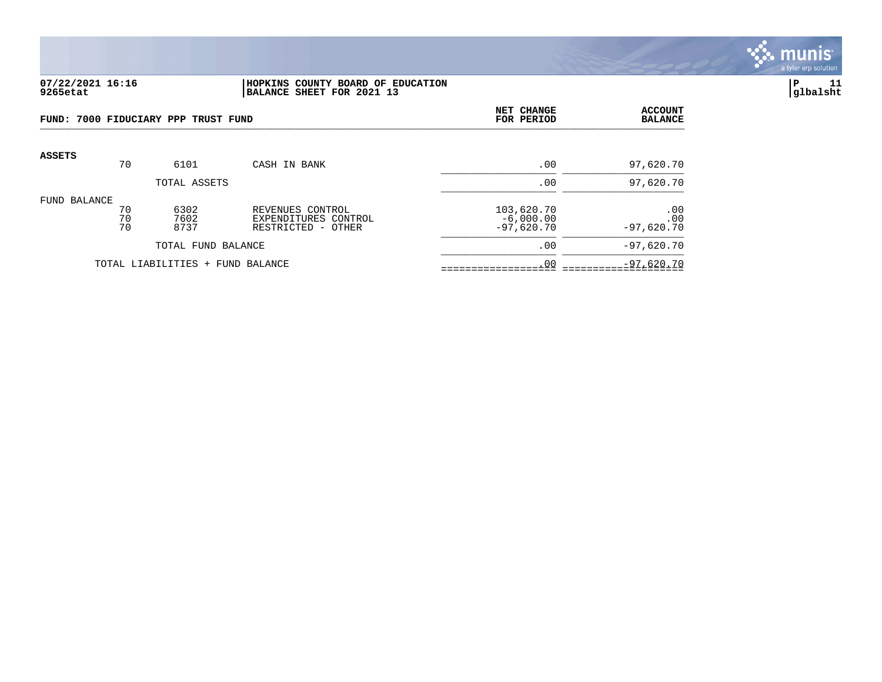

#### **07/22/2021 16:16 |HOPKINS COUNTY BOARD OF EDUCATION |P 11 9265etat |BALANCE SHEET FOR 2021 13 |glbalsht**

| FUND: 7000 FIDUCIARY PPP TRUST FUND |                |                                  |                                                                | NET CHANGE<br>FOR PERIOD                  | <b>ACCOUNT</b><br><b>BALANCE</b> |
|-------------------------------------|----------------|----------------------------------|----------------------------------------------------------------|-------------------------------------------|----------------------------------|
| <b>ASSETS</b>                       | 70             | 6101                             | CASH IN BANK                                                   | .00                                       | 97,620.70                        |
|                                     |                | TOTAL ASSETS                     |                                                                | .00                                       | 97,620.70                        |
| FUND BALANCE                        | 70<br>70<br>70 | 6302<br>7602<br>8737             | REVENUES CONTROL<br>EXPENDITURES CONTROL<br>RESTRICTED - OTHER | 103,620.70<br>$-6,000.00$<br>$-97,620.70$ | .00<br>.00<br>$-97,620.70$       |
|                                     |                | TOTAL FUND BALANCE               |                                                                | .00                                       | $-97,620.70$                     |
|                                     |                | TOTAL LIABILITIES + FUND BALANCE |                                                                | .00                                       | $-97,620.70$                     |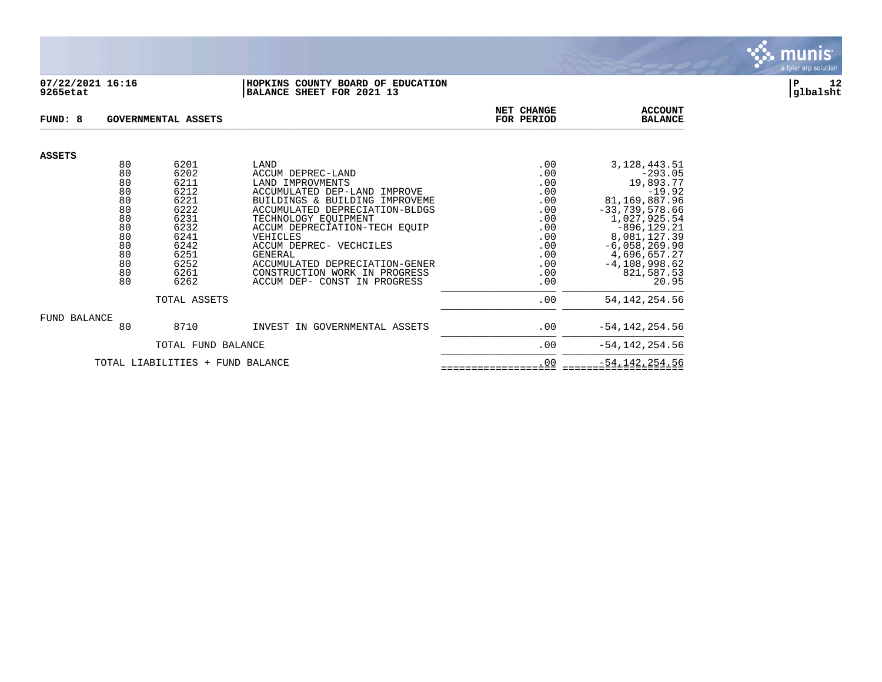

#### **07/22/2021 16:16 |HOPKINS COUNTY BOARD OF EDUCATION |P 12 9265etat |BALANCE SHEET FOR 2021 13 |glbalsht**

| FUND: 8       |          | <b>GOVERNMENTAL ASSETS</b>       | NET CHANGE<br>FOR PERIOD                                        | <b>ACCOUNT</b><br><b>BALANCE</b> |                                 |
|---------------|----------|----------------------------------|-----------------------------------------------------------------|----------------------------------|---------------------------------|
| <b>ASSETS</b> |          |                                  |                                                                 |                                  |                                 |
|               | 80       | 6201                             | LAND                                                            | .00                              | 3, 128, 443. 51                 |
|               | 80       | 6202                             | ACCUM DEPREC-LAND                                               | .00                              | $-293.05$                       |
|               | 80<br>80 | 6211<br>6212                     | LAND IMPROVMENTS<br>ACCUMULATED DEP-LAND<br>IMPROVE             | .00<br>.00                       | 19,893.77<br>$-19.92$           |
|               | 80       | 6221                             | BUILDINGS & BUILDING IMPROVEME                                  | .00                              | 81,169,887.96                   |
|               | 80       | 6222                             | ACCUMULATED DEPRECIATION-BLDGS                                  | .00                              | $-33,739,578.66$                |
|               | 80       | 6231                             | TECHNOLOGY EQUIPMENT                                            | .00                              | 1,027,925.54                    |
|               | 80       | 6232                             | ACCUM DEPRECIATION-TECH EOUIP                                   | .00                              | $-896, 129.21$                  |
|               | 80       | 6241                             | VEHICLES                                                        | .00                              | 8,081,127.39                    |
|               | 80       | 6242                             | ACCUM DEPREC- VECHCILES                                         | .00                              | $-6,058,269.90$                 |
|               | 80       | 6251                             | GENERAL                                                         | .00                              | 4,696,657.27                    |
|               | 80<br>80 | 6252<br>6261                     | ACCUMULATED DEPRECIATION-GENER<br>CONSTRUCTION WORK IN PROGRESS | .00<br>.00                       | $-4, 108, 998.62$<br>821,587.53 |
|               | 80       | 6262                             | ACCUM DEP- CONST IN PROGRESS                                    | .00                              | 20.95                           |
|               |          |                                  |                                                                 |                                  |                                 |
|               |          | TOTAL ASSETS                     |                                                                 | .00                              | 54, 142, 254.56                 |
| FUND BALANCE  |          |                                  |                                                                 |                                  |                                 |
|               | 80       | 8710                             | INVEST IN GOVERNMENTAL ASSETS                                   | .00                              | $-54, 142, 254.56$              |
|               |          | TOTAL FUND BALANCE               |                                                                 | .00                              | $-54, 142, 254.56$              |
|               |          | TOTAL LIABILITIES + FUND BALANCE |                                                                 | .00                              | $-54, 142, 254.56$              |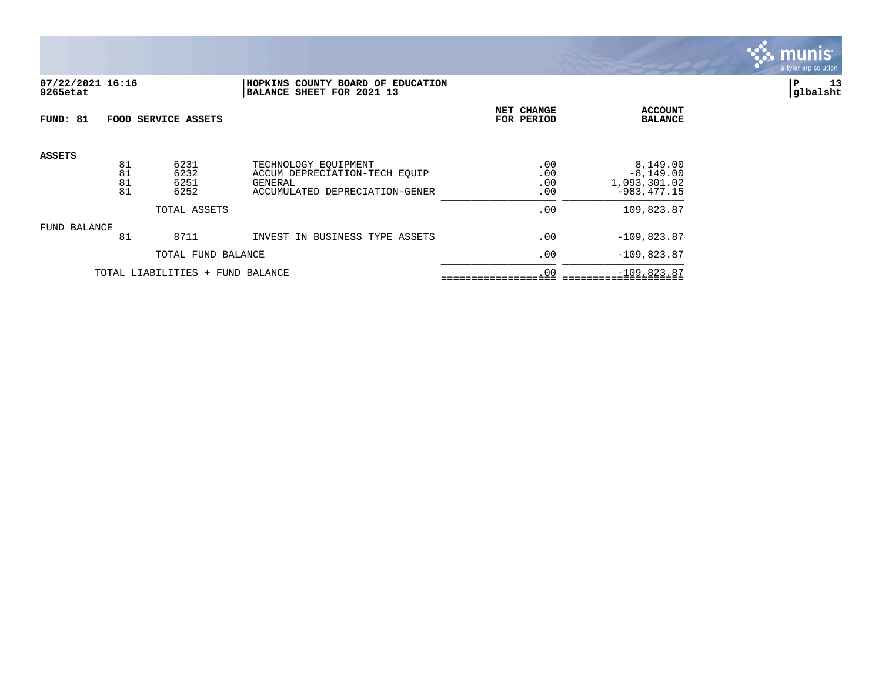

### **07/22/2021 16:16 |HOPKINS COUNTY BOARD OF EDUCATION |P 13 9265etat |BALANCE SHEET FOR 2021 13 |glbalsht**

| FUND: 81      |          | FOOD SERVICE ASSETS              |                                                       | <b>NET CHANGE</b><br>FOR PERIOD | <b>ACCOUNT</b><br><b>BALANCE</b> |
|---------------|----------|----------------------------------|-------------------------------------------------------|---------------------------------|----------------------------------|
| <b>ASSETS</b> |          |                                  |                                                       |                                 |                                  |
|               | 81<br>81 | 6231<br>6232                     | TECHNOLOGY EOUIPMENT<br>ACCUM DEPRECIATION-TECH EOUIP | .00<br>.00                      | 8,149.00<br>$-8, 149.00$         |
|               | 81<br>81 | 6251<br>6252                     | GENERAL<br>ACCUMULATED DEPRECIATION-GENER             | .00<br>.00                      | 1,093,301.02<br>$-983, 477.15$   |
|               |          | TOTAL ASSETS                     | .00                                                   | 109,823.87                      |                                  |
| FUND BALANCE  |          |                                  |                                                       |                                 |                                  |
|               | 81       | 8711                             | INVEST IN BUSINESS TYPE ASSETS                        | .00                             | $-109,823.87$                    |
|               |          | TOTAL FUND BALANCE               | .00                                                   | $-109,823.87$                   |                                  |
|               |          | TOTAL LIABILITIES + FUND BALANCE | .00                                                   | $-109,823.87$                   |                                  |